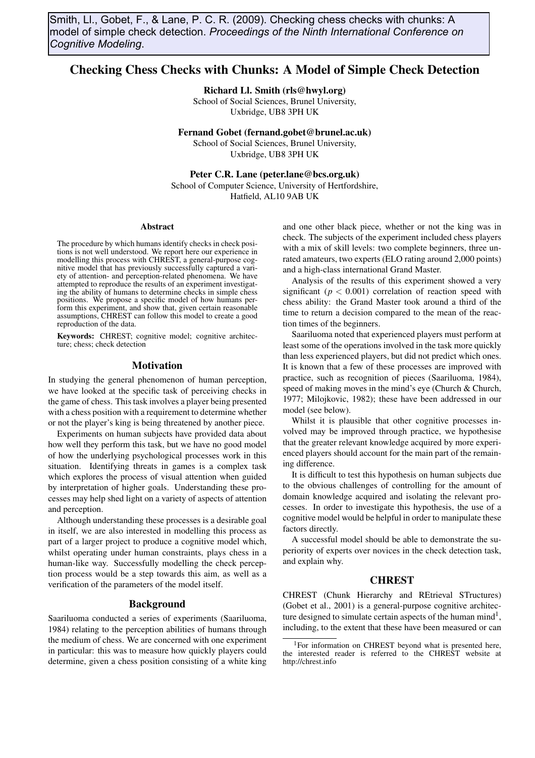Smith, Ll., Gobet, F., & Lane, P. C. R. (2009). Checking chess checks with chunks: A model of simple check detection. *Proceedings of the Ninth International Conference on Cognitive Modeling*.

# Checking Chess Checks with Chunks: A Model of Simple Check Detection

Richard Ll. Smith (rls@hwyl.org)

School of Social Sciences, Brunel University, Uxbridge, UB8 3PH UK

Fernand Gobet (fernand.gobet@brunel.ac.uk) School of Social Sciences, Brunel University, Uxbridge, UB8 3PH UK

Peter C.R. Lane (peter.lane@bcs.org.uk)

School of Computer Science, University of Hertfordshire, Hatfield, AL10 9AB UK

#### Abstract

The procedure by which humans identify checks in check positions is not well understood. We report here our experience in modelling this process with CHREST, a general-purpose cognitive model that has previously successfully captured a variety of attention- and perception-related phenomena. We have attempted to reproduce the results of an experiment investigating the ability of humans to determine checks in simple chess positions. We propose a specific model of how humans perform this experiment, and show that, given certain reasonable assumptions, CHREST can follow this model to create a good reproduction of the data.

Keywords: CHREST; cognitive model; cognitive architecture; chess; check detection

#### Motivation

In studying the general phenomenon of human perception, we have looked at the specific task of perceiving checks in the game of chess. This task involves a player being presented with a chess position with a requirement to determine whether or not the player's king is being threatened by another piece.

Experiments on human subjects have provided data about how well they perform this task, but we have no good model of how the underlying psychological processes work in this situation. Identifying threats in games is a complex task which explores the process of visual attention when guided by interpretation of higher goals. Understanding these processes may help shed light on a variety of aspects of attention and perception.

Although understanding these processes is a desirable goal in itself, we are also interested in modelling this process as part of a larger project to produce a cognitive model which, whilst operating under human constraints, plays chess in a human-like way. Successfully modelling the check perception process would be a step towards this aim, as well as a verification of the parameters of the model itself.

## Background

Saariluoma conducted a series of experiments (Saariluoma, 1984) relating to the perception abilities of humans through the medium of chess. We are concerned with one experiment in particular: this was to measure how quickly players could determine, given a chess position consisting of a white king and one other black piece, whether or not the king was in check. The subjects of the experiment included chess players with a mix of skill levels: two complete beginners, three unrated amateurs, two experts (ELO rating around 2,000 points) and a high-class international Grand Master.

Analysis of the results of this experiment showed a very significant ( $p < 0.001$ ) correlation of reaction speed with chess ability: the Grand Master took around a third of the time to return a decision compared to the mean of the reaction times of the beginners.

Saariluoma noted that experienced players must perform at least some of the operations involved in the task more quickly than less experienced players, but did not predict which ones. It is known that a few of these processes are improved with practice, such as recognition of pieces (Saariluoma, 1984), speed of making moves in the mind's eye (Church & Church, 1977; Milojkovic, 1982); these have been addressed in our model (see below).

Whilst it is plausible that other cognitive processes involved may be improved through practice, we hypothesise that the greater relevant knowledge acquired by more experienced players should account for the main part of the remaining difference.

It is difficult to test this hypothesis on human subjects due to the obvious challenges of controlling for the amount of domain knowledge acquired and isolating the relevant processes. In order to investigate this hypothesis, the use of a cognitive model would be helpful in order to manipulate these factors directly.

A successful model should be able to demonstrate the superiority of experts over novices in the check detection task, and explain why.

## **CHREST**

CHREST (Chunk Hierarchy and REtrieval STructures) (Gobet et al., 2001) is a general-purpose cognitive architecture designed to simulate certain aspects of the human mind<sup>1</sup>, including, to the extent that these have been measured or can

<sup>&</sup>lt;sup>1</sup>For information on CHREST beyond what is presented here, the interested reader is referred to the CHREST website at http://chrest.info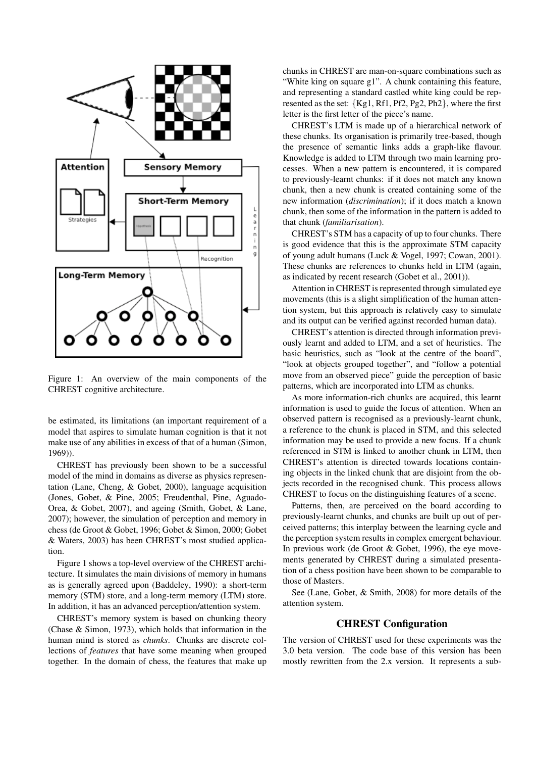

Figure 1: An overview of the main components of the CHREST cognitive architecture.

be estimated, its limitations (an important requirement of a model that aspires to simulate human cognition is that it not make use of any abilities in excess of that of a human (Simon, 1969)).

CHREST has previously been shown to be a successful model of the mind in domains as diverse as physics representation (Lane, Cheng, & Gobet, 2000), language acquisition (Jones, Gobet, & Pine, 2005; Freudenthal, Pine, Aguado-Orea, & Gobet, 2007), and ageing (Smith, Gobet, & Lane, 2007); however, the simulation of perception and memory in chess (de Groot & Gobet, 1996; Gobet & Simon, 2000; Gobet & Waters, 2003) has been CHREST's most studied application.

Figure 1 shows a top-level overview of the CHREST architecture. It simulates the main divisions of memory in humans as is generally agreed upon (Baddeley, 1990): a short-term memory (STM) store, and a long-term memory (LTM) store. In addition, it has an advanced perception/attention system.

CHREST's memory system is based on chunking theory (Chase & Simon, 1973), which holds that information in the human mind is stored as *chunks*. Chunks are discrete collections of *features* that have some meaning when grouped together. In the domain of chess, the features that make up

chunks in CHREST are man-on-square combinations such as "White king on square g1". A chunk containing this feature, and representing a standard castled white king could be represented as the set: *{*Kg1, Rf1, Pf2, Pg2, Ph2*}*, where the first letter is the first letter of the piece's name.

CHREST's LTM is made up of a hierarchical network of these chunks. Its organisation is primarily tree-based, though the presence of semantic links adds a graph-like flavour. Knowledge is added to LTM through two main learning processes. When a new pattern is encountered, it is compared to previously-learnt chunks: if it does not match any known chunk, then a new chunk is created containing some of the new information (*discrimination*); if it does match a known chunk, then some of the information in the pattern is added to that chunk (*familiarisation*).

CHREST's STM has a capacity of up to four chunks. There is good evidence that this is the approximate STM capacity of young adult humans (Luck & Vogel, 1997; Cowan, 2001). These chunks are references to chunks held in LTM (again, as indicated by recent research (Gobet et al., 2001)).

Attention in CHREST is represented through simulated eye movements (this is a slight simplification of the human attention system, but this approach is relatively easy to simulate and its output can be verified against recorded human data).

CHREST's attention is directed through information previously learnt and added to LTM, and a set of heuristics. The basic heuristics, such as "look at the centre of the board", "look at objects grouped together", and "follow a potential move from an observed piece" guide the perception of basic patterns, which are incorporated into LTM as chunks.

As more information-rich chunks are acquired, this learnt information is used to guide the focus of attention. When an observed pattern is recognised as a previously-learnt chunk, a reference to the chunk is placed in STM, and this selected information may be used to provide a new focus. If a chunk referenced in STM is linked to another chunk in LTM, then CHREST's attention is directed towards locations containing objects in the linked chunk that are disjoint from the objects recorded in the recognised chunk. This process allows CHREST to focus on the distinguishing features of a scene.

Patterns, then, are perceived on the board according to previously-learnt chunks, and chunks are built up out of perceived patterns; this interplay between the learning cycle and the perception system results in complex emergent behaviour. In previous work (de Groot & Gobet, 1996), the eye movements generated by CHREST during a simulated presentation of a chess position have been shown to be comparable to those of Masters.

See (Lane, Gobet, & Smith, 2008) for more details of the attention system.

# CHREST Configuration

The version of CHREST used for these experiments was the 3.0 beta version. The code base of this version has been mostly rewritten from the 2.x version. It represents a sub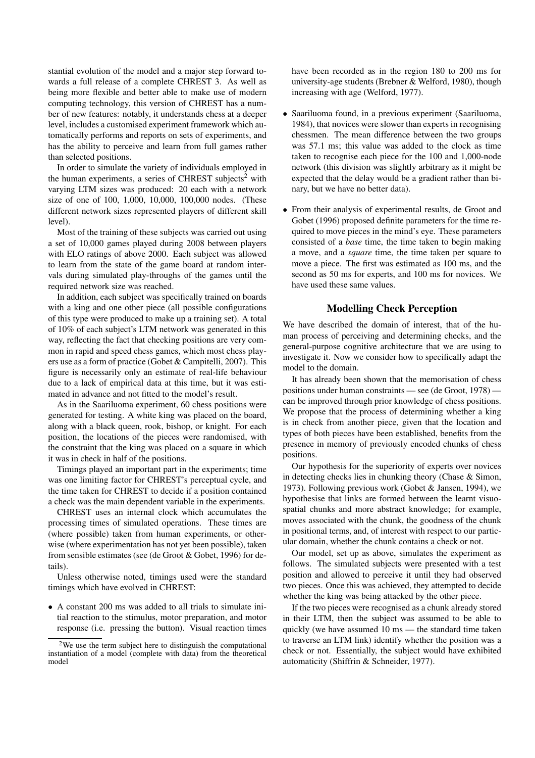stantial evolution of the model and a major step forward towards a full release of a complete CHREST 3. As well as being more flexible and better able to make use of modern computing technology, this version of CHREST has a number of new features: notably, it understands chess at a deeper level, includes a customised experiment framework which automatically performs and reports on sets of experiments, and has the ability to perceive and learn from full games rather than selected positions.

In order to simulate the variety of individuals employed in the human experiments, a series of CHREST subjects<sup>2</sup> with varying LTM sizes was produced: 20 each with a network size of one of 100, 1,000, 10,000, 100,000 nodes. (These different network sizes represented players of different skill level).

Most of the training of these subjects was carried out using a set of 10,000 games played during 2008 between players with ELO ratings of above 2000. Each subject was allowed to learn from the state of the game board at random intervals during simulated play-throughs of the games until the required network size was reached.

In addition, each subject was specifically trained on boards with a king and one other piece (all possible configurations of this type were produced to make up a training set). A total of 10% of each subject's LTM network was generated in this way, reflecting the fact that checking positions are very common in rapid and speed chess games, which most chess players use as a form of practice (Gobet & Campitelli, 2007). This figure is necessarily only an estimate of real-life behaviour due to a lack of empirical data at this time, but it was estimated in advance and not fitted to the model's result.

As in the Saariluoma experiment, 60 chess positions were generated for testing. A white king was placed on the board, along with a black queen, rook, bishop, or knight. For each position, the locations of the pieces were randomised, with the constraint that the king was placed on a square in which it was in check in half of the positions.

Timings played an important part in the experiments; time was one limiting factor for CHREST's perceptual cycle, and the time taken for CHREST to decide if a position contained a check was the main dependent variable in the experiments.

CHREST uses an internal clock which accumulates the processing times of simulated operations. These times are (where possible) taken from human experiments, or otherwise (where experimentation has not yet been possible), taken from sensible estimates (see (de Groot & Gobet, 1996) for details).

Unless otherwise noted, timings used were the standard timings which have evolved in CHREST:

*•* A constant 200 ms was added to all trials to simulate initial reaction to the stimulus, motor preparation, and motor response (i.e. pressing the button). Visual reaction times have been recorded as in the region 180 to 200 ms for university-age students (Brebner & Welford, 1980), though increasing with age (Welford, 1977).

- *•* Saariluoma found, in a previous experiment (Saariluoma, 1984), that novices were slower than experts in recognising chessmen. The mean difference between the two groups was 57.1 ms; this value was added to the clock as time taken to recognise each piece for the 100 and 1,000-node network (this division was slightly arbitrary as it might be expected that the delay would be a gradient rather than binary, but we have no better data).
- *•* From their analysis of experimental results, de Groot and Gobet (1996) proposed definite parameters for the time required to move pieces in the mind's eye. These parameters consisted of a *base* time, the time taken to begin making a move, and a *square* time, the time taken per square to move a piece. The first was estimated as 100 ms, and the second as 50 ms for experts, and 100 ms for novices. We have used these same values.

# Modelling Check Perception

We have described the domain of interest, that of the human process of perceiving and determining checks, and the general-purpose cognitive architecture that we are using to investigate it. Now we consider how to specifically adapt the model to the domain.

It has already been shown that the memorisation of chess positions under human constraints — see (de Groot, 1978) can be improved through prior knowledge of chess positions. We propose that the process of determining whether a king is in check from another piece, given that the location and types of both pieces have been established, benefits from the presence in memory of previously encoded chunks of chess positions.

Our hypothesis for the superiority of experts over novices in detecting checks lies in chunking theory (Chase & Simon, 1973). Following previous work (Gobet & Jansen, 1994), we hypothesise that links are formed between the learnt visuospatial chunks and more abstract knowledge; for example, moves associated with the chunk, the goodness of the chunk in positional terms, and, of interest with respect to our particular domain, whether the chunk contains a check or not.

Our model, set up as above, simulates the experiment as follows. The simulated subjects were presented with a test position and allowed to perceive it until they had observed two pieces. Once this was achieved, they attempted to decide whether the king was being attacked by the other piece.

If the two pieces were recognised as a chunk already stored in their LTM, then the subject was assumed to be able to quickly (we have assumed 10 ms — the standard time taken to traverse an LTM link) identify whether the position was a check or not. Essentially, the subject would have exhibited automaticity (Shiffrin & Schneider, 1977).

<sup>2</sup>We use the term subject here to distinguish the computational instantiation of a model (complete with data) from the theoretical model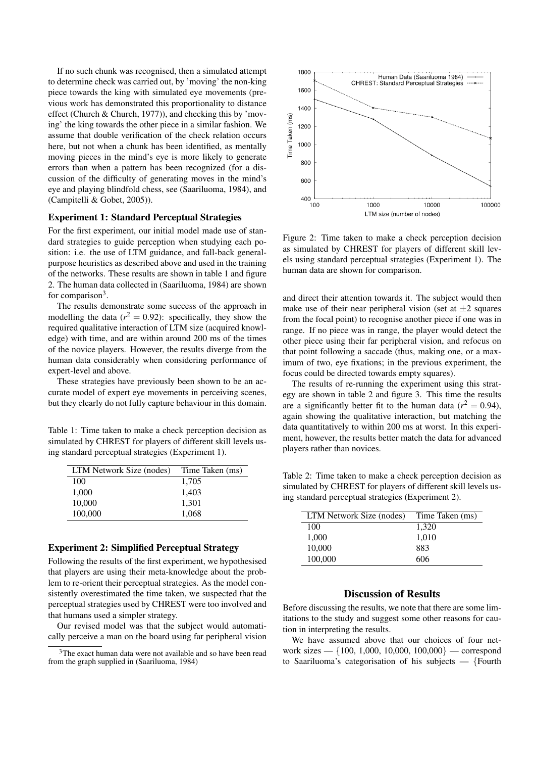If no such chunk was recognised, then a simulated attempt to determine check was carried out, by 'moving' the non-king piece towards the king with simulated eye movements (previous work has demonstrated this proportionality to distance effect (Church & Church, 1977)), and checking this by 'moving' the king towards the other piece in a similar fashion. We assume that double verification of the check relation occurs here, but not when a chunk has been identified, as mentally moving pieces in the mind's eye is more likely to generate errors than when a pattern has been recognized (for a discussion of the difficulty of generating moves in the mind's eye and playing blindfold chess, see (Saariluoma, 1984), and (Campitelli & Gobet, 2005)).

## Experiment 1: Standard Perceptual Strategies

For the first experiment, our initial model made use of standard strategies to guide perception when studying each position: i.e. the use of LTM guidance, and fall-back generalpurpose heuristics as described above and used in the training of the networks. These results are shown in table 1 and figure 2. The human data collected in (Saariluoma, 1984) are shown for comparison<sup>3</sup>.

The results demonstrate some success of the approach in modelling the data  $(r^2 = 0.92)$ : specifically, they show the required qualitative interaction of LTM size (acquired knowledge) with time, and are within around 200 ms of the times of the novice players. However, the results diverge from the human data considerably when considering performance of expert-level and above.

These strategies have previously been shown to be an accurate model of expert eye movements in perceiving scenes, but they clearly do not fully capture behaviour in this domain.

Table 1: Time taken to make a check perception decision as simulated by CHREST for players of different skill levels using standard perceptual strategies (Experiment 1).

| LTM Network Size (nodes) | Time Taken (ms) |
|--------------------------|-----------------|
| 100                      | 1,705           |
| 1,000                    | 1,403           |
| 10,000                   | 1,301           |
| 100,000                  | 1,068           |

## Experiment 2: Simplified Perceptual Strategy

Following the results of the first experiment, we hypothesised that players are using their meta-knowledge about the problem to re-orient their perceptual strategies. As the model consistently overestimated the time taken, we suspected that the perceptual strategies used by CHREST were too involved and that humans used a simpler strategy.

Our revised model was that the subject would automatically perceive a man on the board using far peripheral vision



Figure 2: Time taken to make a check perception decision as simulated by CHREST for players of different skill levels using standard perceptual strategies (Experiment 1). The human data are shown for comparison.

and direct their attention towards it. The subject would then make use of their near peripheral vision (set at  $\pm 2$  squares from the focal point) to recognise another piece if one was in range. If no piece was in range, the player would detect the other piece using their far peripheral vision, and refocus on that point following a saccade (thus, making one, or a maximum of two, eye fixations; in the previous experiment, the focus could be directed towards empty squares).

The results of re-running the experiment using this strategy are shown in table 2 and figure 3. This time the results are a significantly better fit to the human data ( $r^2 = 0.94$ ), again showing the qualitative interaction, but matching the data quantitatively to within 200 ms at worst. In this experiment, however, the results better match the data for advanced players rather than novices.

Table 2: Time taken to make a check perception decision as simulated by CHREST for players of different skill levels using standard perceptual strategies (Experiment 2).

| LTM Network Size (nodes) | Time Taken (ms) |
|--------------------------|-----------------|
| 100                      | 1,320           |
| 1,000                    | 1,010           |
| 10,000                   | 883             |
| 100,000                  | 606             |

## Discussion of Results

Before discussing the results, we note that there are some limitations to the study and suggest some other reasons for caution in interpreting the results.

We have assumed above that our choices of four network sizes — *{*100, 1,000, 10,000, 100,000*}* — correspond to Saariluoma's categorisation of his subjects — *{*Fourth

<sup>&</sup>lt;sup>3</sup>The exact human data were not available and so have been read from the graph supplied in (Saariluoma, 1984)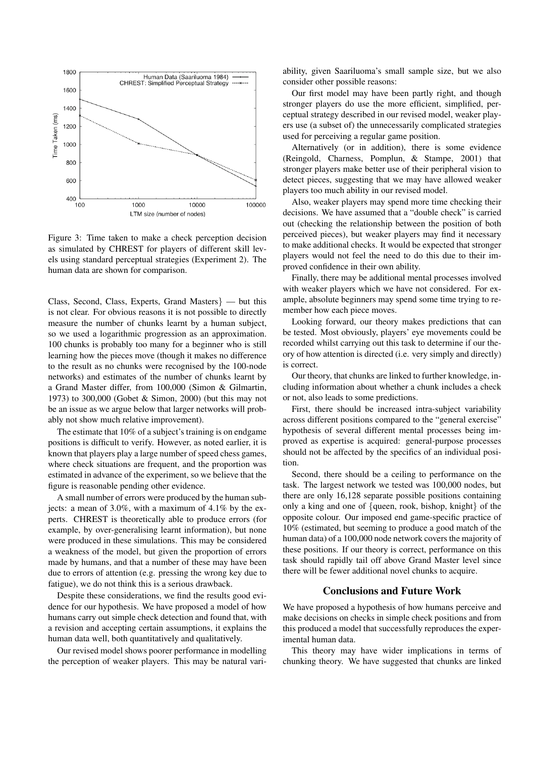![](_page_4_Figure_0.jpeg)

Figure 3: Time taken to make a check perception decision as simulated by CHREST for players of different skill levels using standard perceptual strategies (Experiment 2). The human data are shown for comparison.

Class, Second, Class, Experts, Grand Masters*}* — but this is not clear. For obvious reasons it is not possible to directly measure the number of chunks learnt by a human subject, so we used a logarithmic progression as an approximation. 100 chunks is probably too many for a beginner who is still learning how the pieces move (though it makes no difference to the result as no chunks were recognised by the 100-node networks) and estimates of the number of chunks learnt by a Grand Master differ, from 100,000 (Simon & Gilmartin, 1973) to 300,000 (Gobet & Simon, 2000) (but this may not be an issue as we argue below that larger networks will probably not show much relative improvement).

The estimate that 10% of a subject's training is on endgame positions is difficult to verify. However, as noted earlier, it is known that players play a large number of speed chess games, where check situations are frequent, and the proportion was estimated in advance of the experiment, so we believe that the figure is reasonable pending other evidence.

A small number of errors were produced by the human subjects: a mean of 3.0%, with a maximum of 4.1% by the experts. CHREST is theoretically able to produce errors (for example, by over-generalising learnt information), but none were produced in these simulations. This may be considered a weakness of the model, but given the proportion of errors made by humans, and that a number of these may have been due to errors of attention (e.g. pressing the wrong key due to fatigue), we do not think this is a serious drawback.

Despite these considerations, we find the results good evidence for our hypothesis. We have proposed a model of how humans carry out simple check detection and found that, with a revision and accepting certain assumptions, it explains the human data well, both quantitatively and qualitatively.

Our revised model shows poorer performance in modelling the perception of weaker players. This may be natural variability, given Saariluoma's small sample size, but we also consider other possible reasons:

Our first model may have been partly right, and though stronger players do use the more efficient, simplified, perceptual strategy described in our revised model, weaker players use (a subset of) the unnecessarily complicated strategies used for perceiving a regular game position.

Alternatively (or in addition), there is some evidence (Reingold, Charness, Pomplun, & Stampe, 2001) that stronger players make better use of their peripheral vision to detect pieces, suggesting that we may have allowed weaker players too much ability in our revised model.

Also, weaker players may spend more time checking their decisions. We have assumed that a "double check" is carried out (checking the relationship between the position of both perceived pieces), but weaker players may find it necessary to make additional checks. It would be expected that stronger players would not feel the need to do this due to their improved confidence in their own ability.

Finally, there may be additional mental processes involved with weaker players which we have not considered. For example, absolute beginners may spend some time trying to remember how each piece moves.

Looking forward, our theory makes predictions that can be tested. Most obviously, players' eye movements could be recorded whilst carrying out this task to determine if our theory of how attention is directed (i.e. very simply and directly) is correct.

Our theory, that chunks are linked to further knowledge, including information about whether a chunk includes a check or not, also leads to some predictions.

First, there should be increased intra-subject variability across different positions compared to the "general exercise" hypothesis of several different mental processes being improved as expertise is acquired: general-purpose processes should not be affected by the specifics of an individual position.

Second, there should be a ceiling to performance on the task. The largest network we tested was 100,000 nodes, but there are only 16,128 separate possible positions containing only a king and one of *{*queen, rook, bishop, knight*}* of the opposite colour. Our imposed end game-specific practice of 10% (estimated, but seeming to produce a good match of the human data) of a 100,000 node network covers the majority of these positions. If our theory is correct, performance on this task should rapidly tail off above Grand Master level since there will be fewer additional novel chunks to acquire.

# Conclusions and Future Work

We have proposed a hypothesis of how humans perceive and make decisions on checks in simple check positions and from this produced a model that successfully reproduces the experimental human data.

This theory may have wider implications in terms of chunking theory. We have suggested that chunks are linked